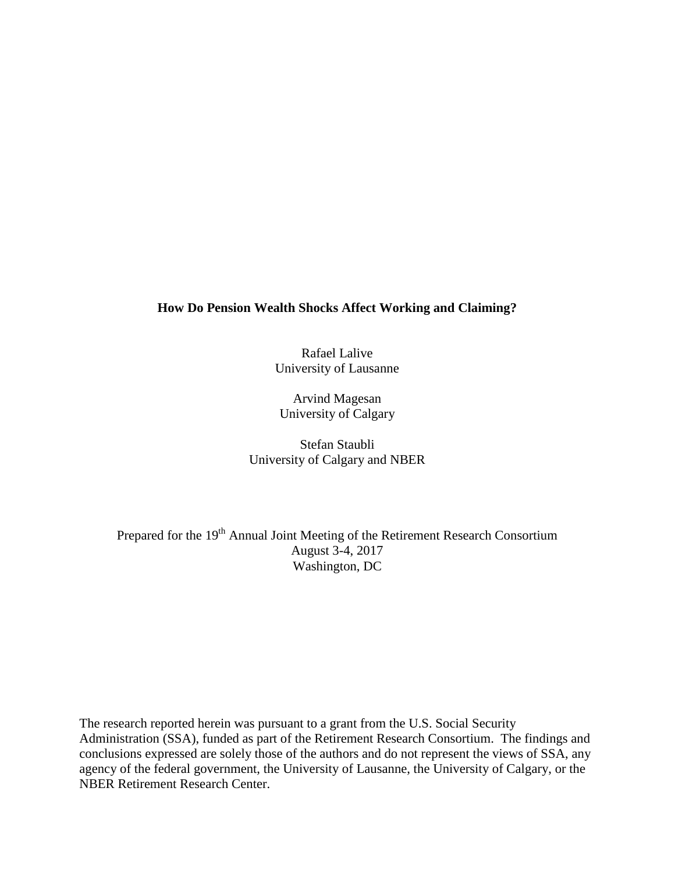## **How Do Pension Wealth Shocks Affect Working and Claiming?**

Rafael Lalive University of Lausanne

Arvind Magesan University of Calgary

Stefan Staubli University of Calgary and NBER

Prepared for the 19<sup>th</sup> Annual Joint Meeting of the Retirement Research Consortium August 3-4, 2017 Washington, DC

The research reported herein was pursuant to a grant from the U.S. Social Security Administration (SSA), funded as part of the Retirement Research Consortium. The findings and conclusions expressed are solely those of the authors and do not represent the views of SSA, any agency of the federal government, the University of Lausanne, the University of Calgary, or the NBER Retirement Research Center.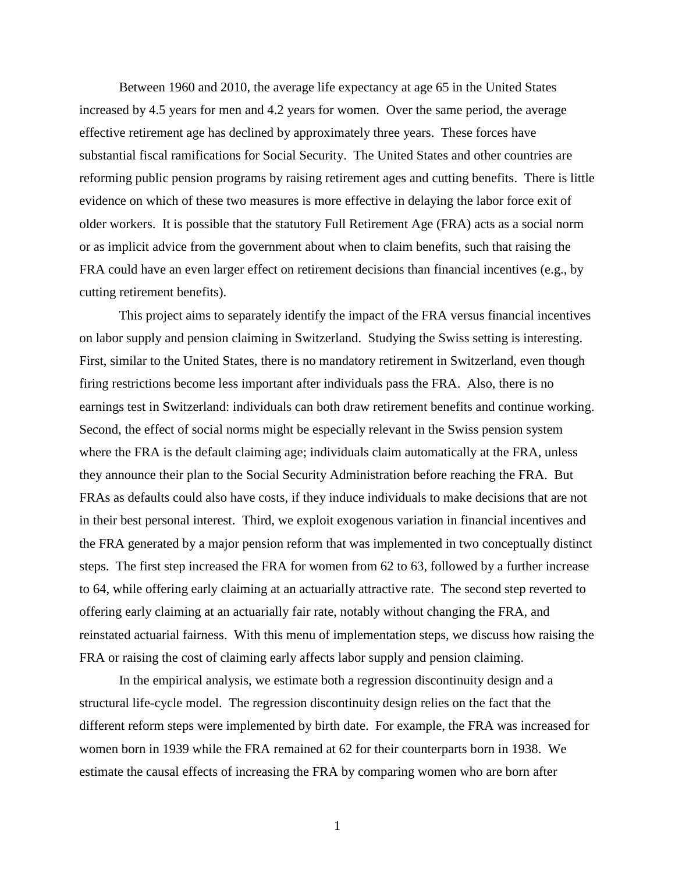Between 1960 and 2010, the average life expectancy at age 65 in the United States increased by 4.5 years for men and 4.2 years for women. Over the same period, the average effective retirement age has declined by approximately three years. These forces have substantial fiscal ramifications for Social Security. The United States and other countries are reforming public pension programs by raising retirement ages and cutting benefits. There is little evidence on which of these two measures is more effective in delaying the labor force exit of older workers. It is possible that the statutory Full Retirement Age (FRA) acts as a social norm or as implicit advice from the government about when to claim benefits, such that raising the FRA could have an even larger effect on retirement decisions than financial incentives (e.g., by cutting retirement benefits).

This project aims to separately identify the impact of the FRA versus financial incentives on labor supply and pension claiming in Switzerland. Studying the Swiss setting is interesting. First, similar to the United States, there is no mandatory retirement in Switzerland, even though firing restrictions become less important after individuals pass the FRA. Also, there is no earnings test in Switzerland: individuals can both draw retirement benefits and continue working. Second, the effect of social norms might be especially relevant in the Swiss pension system where the FRA is the default claiming age; individuals claim automatically at the FRA, unless they announce their plan to the Social Security Administration before reaching the FRA. But FRAs as defaults could also have costs, if they induce individuals to make decisions that are not in their best personal interest. Third, we exploit exogenous variation in financial incentives and the FRA generated by a major pension reform that was implemented in two conceptually distinct steps. The first step increased the FRA for women from 62 to 63, followed by a further increase to 64, while offering early claiming at an actuarially attractive rate. The second step reverted to offering early claiming at an actuarially fair rate, notably without changing the FRA, and reinstated actuarial fairness. With this menu of implementation steps, we discuss how raising the FRA or raising the cost of claiming early affects labor supply and pension claiming.

In the empirical analysis, we estimate both a regression discontinuity design and a structural life-cycle model. The regression discontinuity design relies on the fact that the different reform steps were implemented by birth date. For example, the FRA was increased for women born in 1939 while the FRA remained at 62 for their counterparts born in 1938. We estimate the causal effects of increasing the FRA by comparing women who are born after

1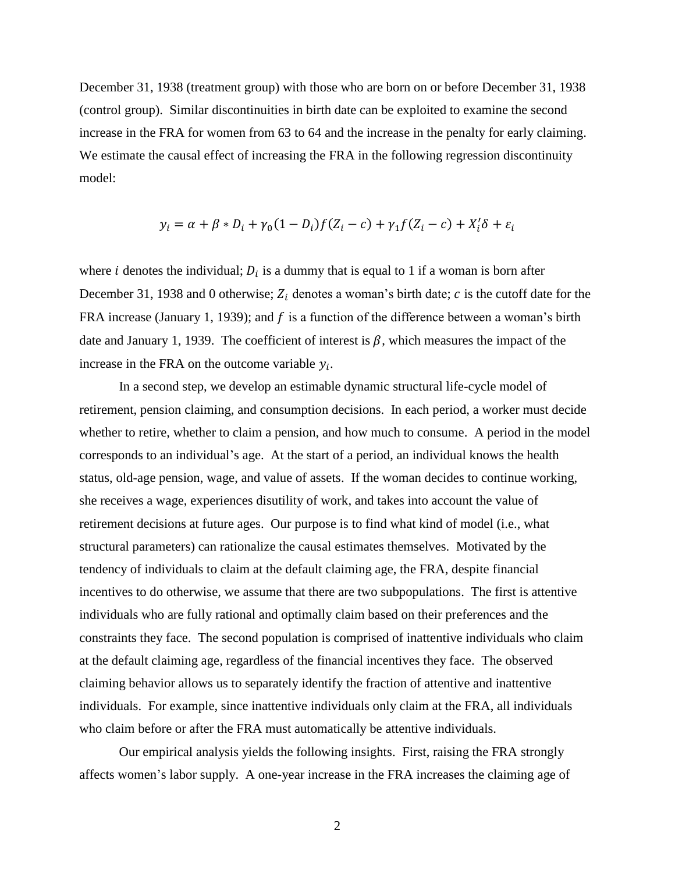December 31, 1938 (treatment group) with those who are born on or before December 31, 1938 (control group). Similar discontinuities in birth date can be exploited to examine the second increase in the FRA for women from 63 to 64 and the increase in the penalty for early claiming. We estimate the causal effect of increasing the FRA in the following regression discontinuity model:

$$
y_i = \alpha + \beta * D_i + \gamma_0 (1 - D_i) f(Z_i - c) + \gamma_1 f(Z_i - c) + X_i' \delta + \varepsilon_i
$$

where *i* denotes the individual;  $D_i$  is a dummy that is equal to 1 if a woman is born after December 31, 1938 and 0 otherwise;  $Z_i$  denotes a woman's birth date;  $c$  is the cutoff date for the FRA increase (January 1, 1939); and  $f$  is a function of the difference between a woman's birth date and January 1, 1939. The coefficient of interest is  $\beta$ , which measures the impact of the increase in the FRA on the outcome variable  $y_i$ .

In a second step, we develop an estimable dynamic structural life-cycle model of retirement, pension claiming, and consumption decisions. In each period, a worker must decide whether to retire, whether to claim a pension, and how much to consume. A period in the model corresponds to an individual's age. At the start of a period, an individual knows the health status, old-age pension, wage, and value of assets. If the woman decides to continue working, she receives a wage, experiences disutility of work, and takes into account the value of retirement decisions at future ages. Our purpose is to find what kind of model (i.e., what structural parameters) can rationalize the causal estimates themselves. Motivated by the tendency of individuals to claim at the default claiming age, the FRA, despite financial incentives to do otherwise, we assume that there are two subpopulations. The first is attentive individuals who are fully rational and optimally claim based on their preferences and the constraints they face. The second population is comprised of inattentive individuals who claim at the default claiming age, regardless of the financial incentives they face. The observed claiming behavior allows us to separately identify the fraction of attentive and inattentive individuals. For example, since inattentive individuals only claim at the FRA, all individuals who claim before or after the FRA must automatically be attentive individuals.

Our empirical analysis yields the following insights. First, raising the FRA strongly affects women's labor supply. A one-year increase in the FRA increases the claiming age of

2